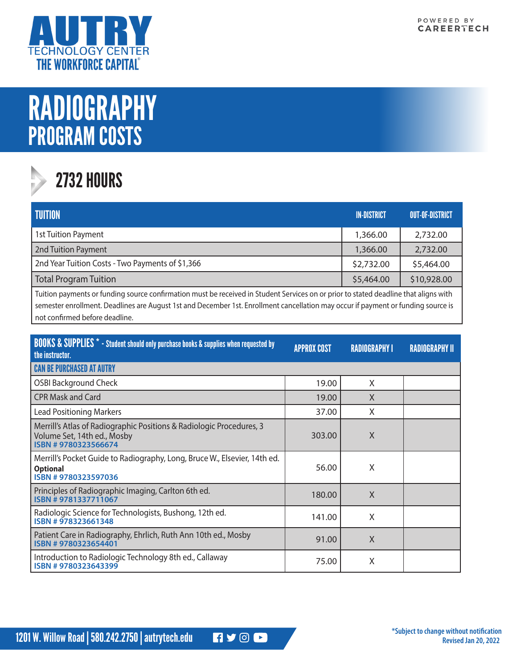

## RADIOGRAPHY PROGRAM COSTS

## 2732 HOURS

| <b>TUITION</b>                                   | <b>IN-DISTRICT</b> | <b>OUT-OF-DISTRICT</b> |
|--------------------------------------------------|--------------------|------------------------|
| 1st Tuition Payment                              | 1,366.00           | 2,732.00               |
| 2nd Tuition Payment                              | 1,366.00           | 2,732.00               |
| 2nd Year Tuition Costs - Two Payments of \$1,366 | \$2,732.00         | \$5,464.00             |
| <b>Total Program Tuition</b>                     | \$5,464.00         | \$10,928.00            |

Tuition payments or funding source confirmation must be received in Student Services on or prior to stated deadline that aligns with semester enrollment. Deadlines are August 1st and December 1st. Enrollment cancellation may occur if payment or funding source is not confirmed before deadline.

| <b>BOOKS &amp; SUPPLIES</b> * - Student should only purchase books & supplies when requested by<br>the instructor.         | <b>APPROX COST</b> | <b>RADIOGRAPHY I</b> | <b>RADIOGRAPHY II</b> |
|----------------------------------------------------------------------------------------------------------------------------|--------------------|----------------------|-----------------------|
| <b>CAN BE PURCHASED AT AUTRY</b>                                                                                           |                    |                      |                       |
| <b>OSBI Background Check</b>                                                                                               | 19.00              | X                    |                       |
| <b>CPR Mask and Card</b>                                                                                                   | 19.00              | X                    |                       |
| <b>Lead Positioning Markers</b>                                                                                            | 37.00              | X                    |                       |
| Merrill's Atlas of Radiographic Positions & Radiologic Procedures, 3<br>Volume Set, 14th ed., Mosby<br>ISBN #9780323566674 | 303.00             | X                    |                       |
| Merrill's Pocket Guide to Radiography, Long, Bruce W., Elsevier, 14th ed.<br><b>Optional</b><br>ISBN #9780323597036        | 56.00              | X                    |                       |
| Principles of Radiographic Imaging, Carlton 6th ed.<br>ISBN #9781337711067                                                 | 180.00             | X                    |                       |
| Radiologic Science for Technologists, Bushong, 12th ed.<br>ISBN #978323661348                                              | 141.00             | X                    |                       |
| Patient Care in Radiography, Ehrlich, Ruth Ann 10th ed., Mosby<br>ISBN #9780323654401                                      | 91.00              | X                    |                       |
| Introduction to Radiologic Technology 8th ed., Callaway<br>ISBN #9780323643399                                             | 75.00              | X                    |                       |